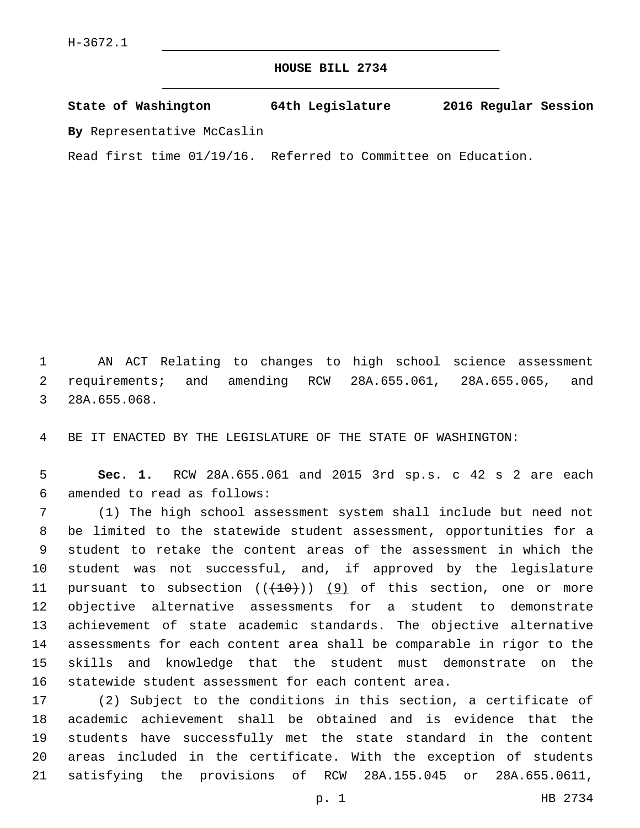## **HOUSE BILL 2734**

**State of Washington 64th Legislature 2016 Regular Session By** Representative McCaslin

Read first time 01/19/16. Referred to Committee on Education.

 AN ACT Relating to changes to high school science assessment requirements; and amending RCW 28A.655.061, 28A.655.065, and 3 28A.655.068.

BE IT ENACTED BY THE LEGISLATURE OF THE STATE OF WASHINGTON:

 **Sec. 1.** RCW 28A.655.061 and 2015 3rd sp.s. c 42 s 2 are each amended to read as follows:6

 (1) The high school assessment system shall include but need not be limited to the statewide student assessment, opportunities for a student to retake the content areas of the assessment in which the student was not successful, and, if approved by the legislature 11 pursuant to subsection  $((+10))$   $(9)$  of this section, one or more objective alternative assessments for a student to demonstrate achievement of state academic standards. The objective alternative assessments for each content area shall be comparable in rigor to the skills and knowledge that the student must demonstrate on the statewide student assessment for each content area.

 (2) Subject to the conditions in this section, a certificate of academic achievement shall be obtained and is evidence that the students have successfully met the state standard in the content areas included in the certificate. With the exception of students satisfying the provisions of RCW 28A.155.045 or 28A.655.0611,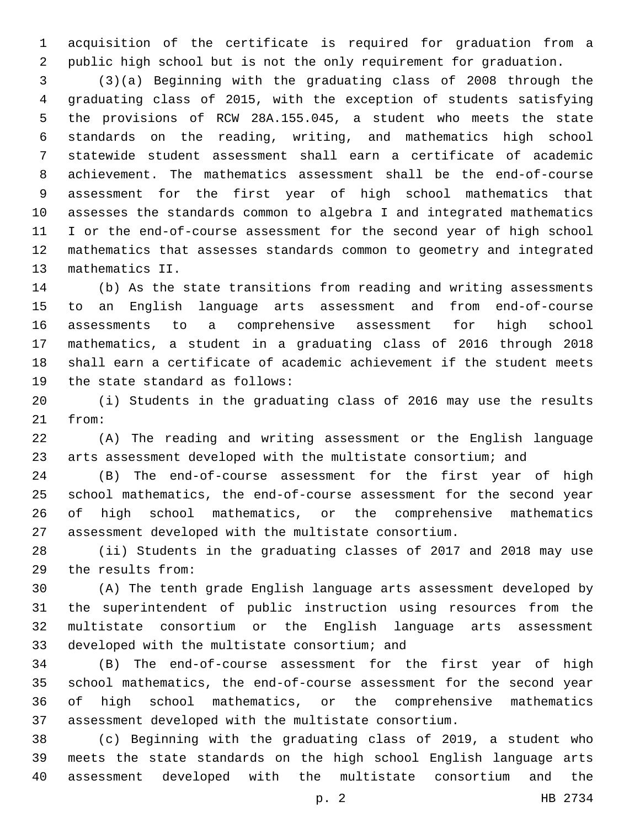acquisition of the certificate is required for graduation from a public high school but is not the only requirement for graduation.

 (3)(a) Beginning with the graduating class of 2008 through the graduating class of 2015, with the exception of students satisfying the provisions of RCW 28A.155.045, a student who meets the state standards on the reading, writing, and mathematics high school statewide student assessment shall earn a certificate of academic achievement. The mathematics assessment shall be the end-of-course assessment for the first year of high school mathematics that assesses the standards common to algebra I and integrated mathematics I or the end-of-course assessment for the second year of high school mathematics that assesses standards common to geometry and integrated 13 mathematics II.

 (b) As the state transitions from reading and writing assessments to an English language arts assessment and from end-of-course assessments to a comprehensive assessment for high school mathematics, a student in a graduating class of 2016 through 2018 shall earn a certificate of academic achievement if the student meets 19 the state standard as follows:

 (i) Students in the graduating class of 2016 may use the results 21 from:

 (A) The reading and writing assessment or the English language arts assessment developed with the multistate consortium; and

 (B) The end-of-course assessment for the first year of high school mathematics, the end-of-course assessment for the second year of high school mathematics, or the comprehensive mathematics assessment developed with the multistate consortium.

 (ii) Students in the graduating classes of 2017 and 2018 may use the results from:29

 (A) The tenth grade English language arts assessment developed by the superintendent of public instruction using resources from the multistate consortium or the English language arts assessment 33 developed with the multistate consortium; and

 (B) The end-of-course assessment for the first year of high school mathematics, the end-of-course assessment for the second year of high school mathematics, or the comprehensive mathematics assessment developed with the multistate consortium.

 (c) Beginning with the graduating class of 2019, a student who meets the state standards on the high school English language arts assessment developed with the multistate consortium and the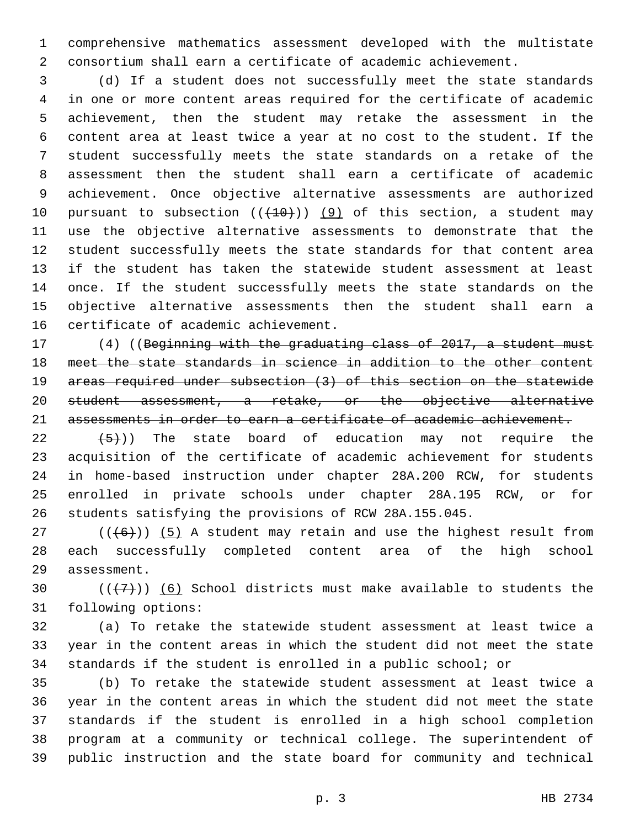comprehensive mathematics assessment developed with the multistate consortium shall earn a certificate of academic achievement.

 (d) If a student does not successfully meet the state standards in one or more content areas required for the certificate of academic achievement, then the student may retake the assessment in the content area at least twice a year at no cost to the student. If the student successfully meets the state standards on a retake of the assessment then the student shall earn a certificate of academic achievement. Once objective alternative assessments are authorized 10 pursuant to subsection  $((+10))$  (9) of this section, a student may use the objective alternative assessments to demonstrate that the student successfully meets the state standards for that content area if the student has taken the statewide student assessment at least 14 once. If the student successfully meets the state standards on the objective alternative assessments then the student shall earn a 16 certificate of academic achievement.

 (4) ((Beginning with the graduating class of 2017, a student must meet the state standards in science in addition to the other content areas required under subsection (3) of this section on the statewide student assessment, a retake, or the objective alternative assessments in order to earn a certificate of academic achievement.

 $(22 \t+5)$ ) The state board of education may not require the acquisition of the certificate of academic achievement for students in home-based instruction under chapter 28A.200 RCW, for students enrolled in private schools under chapter 28A.195 RCW, or for students satisfying the provisions of RCW 28A.155.045.

 $((+6))$  (5) A student may retain and use the highest result from each successfully completed content area of the high school 29 assessment.

30  $((+7+))$  (6) School districts must make available to students the 31 following options:

 (a) To retake the statewide student assessment at least twice a year in the content areas in which the student did not meet the state standards if the student is enrolled in a public school; or

 (b) To retake the statewide student assessment at least twice a year in the content areas in which the student did not meet the state standards if the student is enrolled in a high school completion program at a community or technical college. The superintendent of public instruction and the state board for community and technical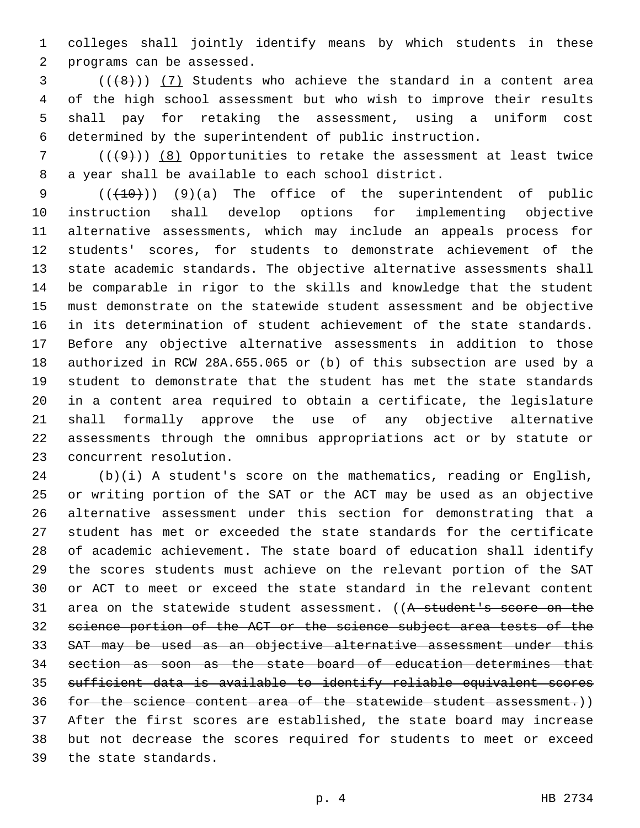colleges shall jointly identify means by which students in these 2 programs can be assessed.

 ( $(\overline{8})$ ) (7) Students who achieve the standard in a content area of the high school assessment but who wish to improve their results shall pay for retaking the assessment, using a uniform cost determined by the superintendent of public instruction.

 (( $(49)$ )) (8) Opportunities to retake the assessment at least twice 8 a year shall be available to each school district.

 $((+10))$   $(9)(a)$  The office of the superintendent of public instruction shall develop options for implementing objective alternative assessments, which may include an appeals process for students' scores, for students to demonstrate achievement of the state academic standards. The objective alternative assessments shall be comparable in rigor to the skills and knowledge that the student must demonstrate on the statewide student assessment and be objective 16 in its determination of student achievement of the state standards. Before any objective alternative assessments in addition to those authorized in RCW 28A.655.065 or (b) of this subsection are used by a student to demonstrate that the student has met the state standards in a content area required to obtain a certificate, the legislature shall formally approve the use of any objective alternative assessments through the omnibus appropriations act or by statute or 23 concurrent resolution.

 (b)(i) A student's score on the mathematics, reading or English, or writing portion of the SAT or the ACT may be used as an objective alternative assessment under this section for demonstrating that a student has met or exceeded the state standards for the certificate of academic achievement. The state board of education shall identify the scores students must achieve on the relevant portion of the SAT or ACT to meet or exceed the state standard in the relevant content 31 area on the statewide student assessment. ((A student's score on the science portion of the ACT or the science subject area tests of the SAT may be used as an objective alternative assessment under this section as soon as the state board of education determines that sufficient data is available to identify reliable equivalent scores for the science content area of the statewide student assessment.)) After the first scores are established, the state board may increase but not decrease the scores required for students to meet or exceed 39 the state standards.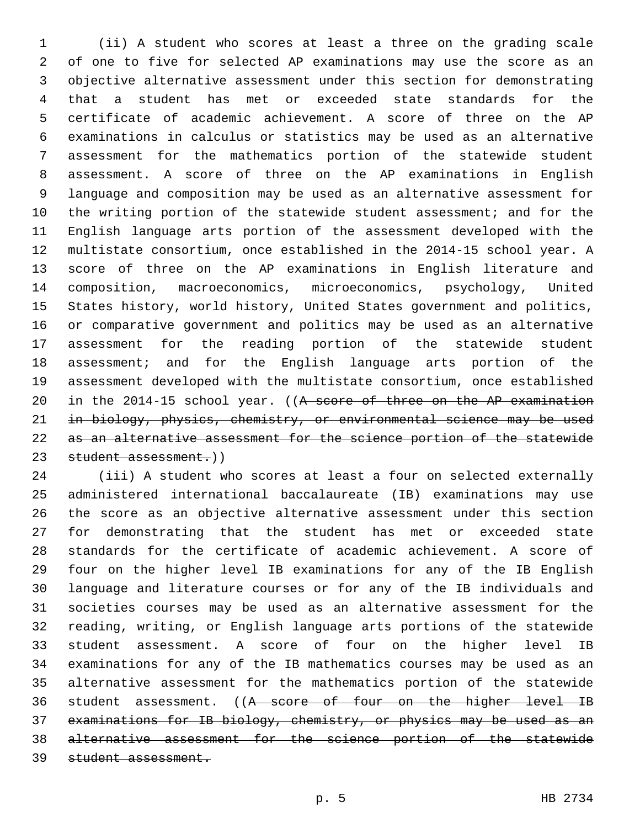(ii) A student who scores at least a three on the grading scale of one to five for selected AP examinations may use the score as an objective alternative assessment under this section for demonstrating that a student has met or exceeded state standards for the certificate of academic achievement. A score of three on the AP examinations in calculus or statistics may be used as an alternative assessment for the mathematics portion of the statewide student assessment. A score of three on the AP examinations in English language and composition may be used as an alternative assessment for the writing portion of the statewide student assessment; and for the English language arts portion of the assessment developed with the multistate consortium, once established in the 2014-15 school year. A score of three on the AP examinations in English literature and composition, macroeconomics, microeconomics, psychology, United States history, world history, United States government and politics, or comparative government and politics may be used as an alternative assessment for the reading portion of the statewide student assessment; and for the English language arts portion of the assessment developed with the multistate consortium, once established 20 in the 2014-15 school year. ((A score of three on the AP examination in biology, physics, chemistry, or environmental science may be used as an alternative assessment for the science portion of the statewide 23 student assessment.))

 (iii) A student who scores at least a four on selected externally administered international baccalaureate (IB) examinations may use the score as an objective alternative assessment under this section for demonstrating that the student has met or exceeded state standards for the certificate of academic achievement. A score of four on the higher level IB examinations for any of the IB English language and literature courses or for any of the IB individuals and societies courses may be used as an alternative assessment for the reading, writing, or English language arts portions of the statewide student assessment. A score of four on the higher level IB examinations for any of the IB mathematics courses may be used as an alternative assessment for the mathematics portion of the statewide 36 student assessment. ((A score of four on the higher level IB examinations for IB biology, chemistry, or physics may be used as an alternative assessment for the science portion of the statewide student assessment.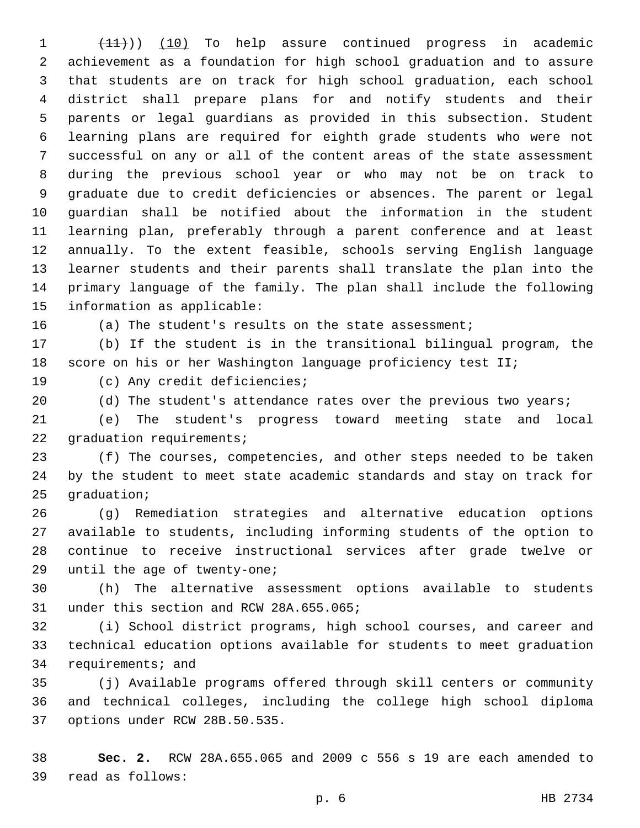1 (11)) (10) To help assure continued progress in academic achievement as a foundation for high school graduation and to assure that students are on track for high school graduation, each school district shall prepare plans for and notify students and their parents or legal guardians as provided in this subsection. Student learning plans are required for eighth grade students who were not successful on any or all of the content areas of the state assessment during the previous school year or who may not be on track to graduate due to credit deficiencies or absences. The parent or legal guardian shall be notified about the information in the student learning plan, preferably through a parent conference and at least annually. To the extent feasible, schools serving English language learner students and their parents shall translate the plan into the primary language of the family. The plan shall include the following 15 information as applicable:

(a) The student's results on the state assessment;

 (b) If the student is in the transitional bilingual program, the score on his or her Washington language proficiency test II;

19 (c) Any credit deficiencies;

20 (d) The student's attendance rates over the previous two years;

 (e) The student's progress toward meeting state and local 22 graduation requirements;

 (f) The courses, competencies, and other steps needed to be taken by the student to meet state academic standards and stay on track for graduation;

 (g) Remediation strategies and alternative education options available to students, including informing students of the option to continue to receive instructional services after grade twelve or 29 until the age of twenty-one;

 (h) The alternative assessment options available to students 31 under this section and RCW 28A.655.065;

 (i) School district programs, high school courses, and career and technical education options available for students to meet graduation 34 requirements; and

 (j) Available programs offered through skill centers or community and technical colleges, including the college high school diploma 37 options under RCW 28B.50.535.

 **Sec. 2.** RCW 28A.655.065 and 2009 c 556 s 19 are each amended to read as follows:39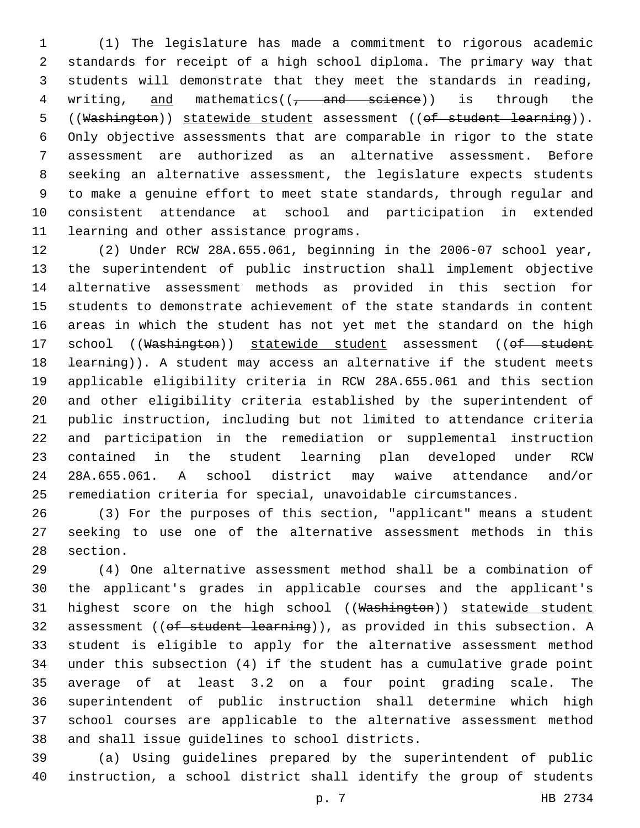(1) The legislature has made a commitment to rigorous academic standards for receipt of a high school diploma. The primary way that students will demonstrate that they meet the standards in reading, 4 writing,  $and$  mathematics( $($ , and science)) is through the 5 ((Washington)) statewide student assessment ((of student learning)). Only objective assessments that are comparable in rigor to the state assessment are authorized as an alternative assessment. Before seeking an alternative assessment, the legislature expects students to make a genuine effort to meet state standards, through regular and consistent attendance at school and participation in extended 11 learning and other assistance programs.

 (2) Under RCW 28A.655.061, beginning in the 2006-07 school year, the superintendent of public instruction shall implement objective alternative assessment methods as provided in this section for 15 students to demonstrate achievement of the state standards in content areas in which the student has not yet met the standard on the high 17 school ((Washington)) statewide student assessment ((of student 18 <del>learning</del>)). A student may access an alternative if the student meets applicable eligibility criteria in RCW 28A.655.061 and this section and other eligibility criteria established by the superintendent of public instruction, including but not limited to attendance criteria and participation in the remediation or supplemental instruction contained in the student learning plan developed under RCW 28A.655.061. A school district may waive attendance and/or remediation criteria for special, unavoidable circumstances.

 (3) For the purposes of this section, "applicant" means a student seeking to use one of the alternative assessment methods in this 28 section.

 (4) One alternative assessment method shall be a combination of the applicant's grades in applicable courses and the applicant's 31 highest score on the high school ((Washington)) statewide student 32 assessment ((of student learning)), as provided in this subsection. A student is eligible to apply for the alternative assessment method under this subsection (4) if the student has a cumulative grade point average of at least 3.2 on a four point grading scale. The superintendent of public instruction shall determine which high school courses are applicable to the alternative assessment method 38 and shall issue quidelines to school districts.

 (a) Using guidelines prepared by the superintendent of public instruction, a school district shall identify the group of students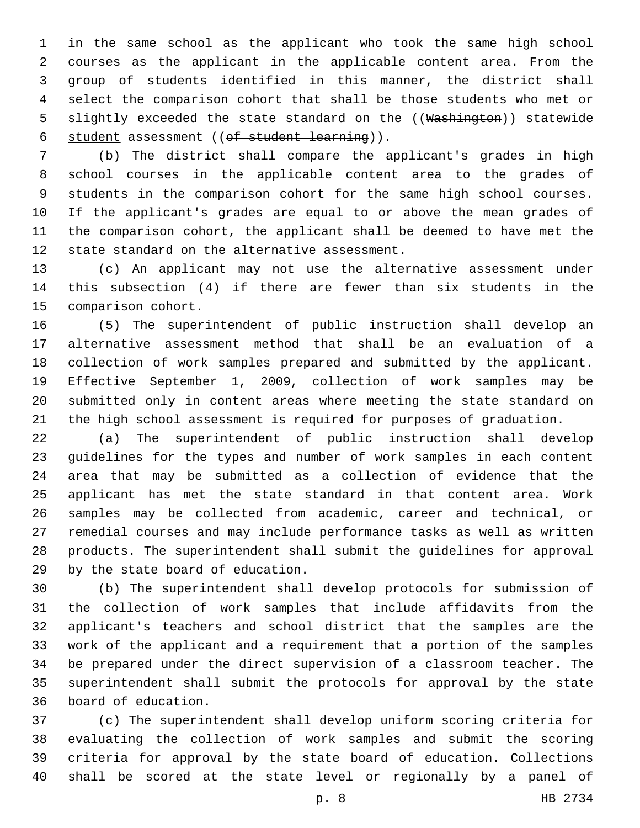in the same school as the applicant who took the same high school courses as the applicant in the applicable content area. From the group of students identified in this manner, the district shall select the comparison cohort that shall be those students who met or 5 slightly exceeded the state standard on the ((Washington)) statewide 6 student assessment ((of student learning)).

 (b) The district shall compare the applicant's grades in high school courses in the applicable content area to the grades of students in the comparison cohort for the same high school courses. If the applicant's grades are equal to or above the mean grades of the comparison cohort, the applicant shall be deemed to have met the 12 state standard on the alternative assessment.

 (c) An applicant may not use the alternative assessment under this subsection (4) if there are fewer than six students in the 15 comparison cohort.

 (5) The superintendent of public instruction shall develop an alternative assessment method that shall be an evaluation of a collection of work samples prepared and submitted by the applicant. Effective September 1, 2009, collection of work samples may be 20 submitted only in content areas where meeting the state standard on the high school assessment is required for purposes of graduation.

 (a) The superintendent of public instruction shall develop guidelines for the types and number of work samples in each content area that may be submitted as a collection of evidence that the applicant has met the state standard in that content area. Work samples may be collected from academic, career and technical, or remedial courses and may include performance tasks as well as written products. The superintendent shall submit the guidelines for approval 29 by the state board of education.

 (b) The superintendent shall develop protocols for submission of the collection of work samples that include affidavits from the applicant's teachers and school district that the samples are the work of the applicant and a requirement that a portion of the samples be prepared under the direct supervision of a classroom teacher. The superintendent shall submit the protocols for approval by the state board of education.36

 (c) The superintendent shall develop uniform scoring criteria for evaluating the collection of work samples and submit the scoring criteria for approval by the state board of education. Collections shall be scored at the state level or regionally by a panel of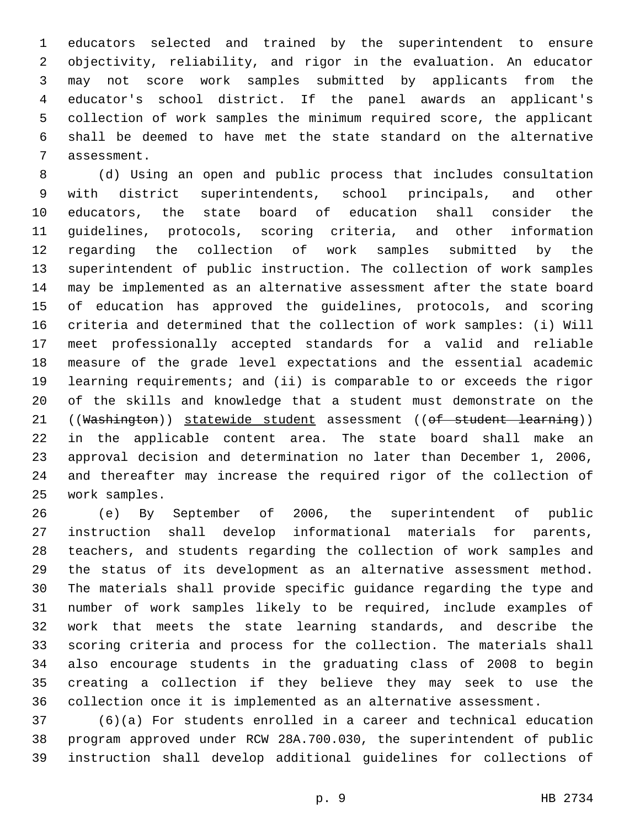educators selected and trained by the superintendent to ensure objectivity, reliability, and rigor in the evaluation. An educator may not score work samples submitted by applicants from the educator's school district. If the panel awards an applicant's collection of work samples the minimum required score, the applicant shall be deemed to have met the state standard on the alternative 7 assessment.

 (d) Using an open and public process that includes consultation with district superintendents, school principals, and other educators, the state board of education shall consider the guidelines, protocols, scoring criteria, and other information regarding the collection of work samples submitted by the superintendent of public instruction. The collection of work samples may be implemented as an alternative assessment after the state board of education has approved the guidelines, protocols, and scoring criteria and determined that the collection of work samples: (i) Will meet professionally accepted standards for a valid and reliable measure of the grade level expectations and the essential academic learning requirements; and (ii) is comparable to or exceeds the rigor of the skills and knowledge that a student must demonstrate on the 21 ((Washington)) statewide student assessment ((of student learning)) in the applicable content area. The state board shall make an approval decision and determination no later than December 1, 2006, and thereafter may increase the required rigor of the collection of work samples.25

 (e) By September of 2006, the superintendent of public instruction shall develop informational materials for parents, teachers, and students regarding the collection of work samples and the status of its development as an alternative assessment method. The materials shall provide specific guidance regarding the type and number of work samples likely to be required, include examples of work that meets the state learning standards, and describe the scoring criteria and process for the collection. The materials shall also encourage students in the graduating class of 2008 to begin creating a collection if they believe they may seek to use the collection once it is implemented as an alternative assessment.

 (6)(a) For students enrolled in a career and technical education program approved under RCW 28A.700.030, the superintendent of public instruction shall develop additional guidelines for collections of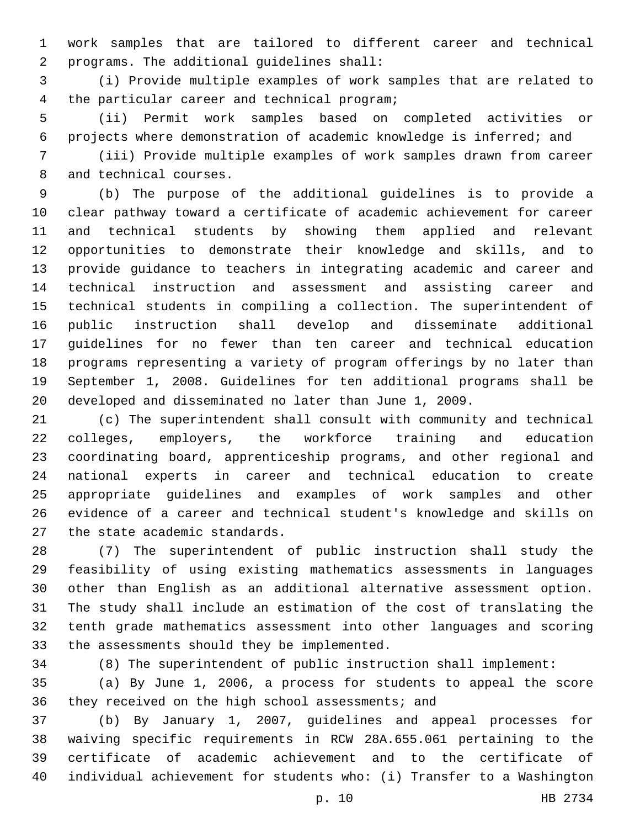work samples that are tailored to different career and technical programs. The additional guidelines shall:2

 (i) Provide multiple examples of work samples that are related to 4 the particular career and technical program;

 (ii) Permit work samples based on completed activities or projects where demonstration of academic knowledge is inferred; and

 (iii) Provide multiple examples of work samples drawn from career 8 and technical courses.

 (b) The purpose of the additional guidelines is to provide a clear pathway toward a certificate of academic achievement for career and technical students by showing them applied and relevant opportunities to demonstrate their knowledge and skills, and to provide guidance to teachers in integrating academic and career and technical instruction and assessment and assisting career and technical students in compiling a collection. The superintendent of public instruction shall develop and disseminate additional guidelines for no fewer than ten career and technical education programs representing a variety of program offerings by no later than September 1, 2008. Guidelines for ten additional programs shall be developed and disseminated no later than June 1, 2009.

 (c) The superintendent shall consult with community and technical colleges, employers, the workforce training and education coordinating board, apprenticeship programs, and other regional and national experts in career and technical education to create appropriate guidelines and examples of work samples and other evidence of a career and technical student's knowledge and skills on 27 the state academic standards.

 (7) The superintendent of public instruction shall study the feasibility of using existing mathematics assessments in languages other than English as an additional alternative assessment option. The study shall include an estimation of the cost of translating the tenth grade mathematics assessment into other languages and scoring 33 the assessments should they be implemented.

(8) The superintendent of public instruction shall implement:

 (a) By June 1, 2006, a process for students to appeal the score 36 they received on the high school assessments; and

 (b) By January 1, 2007, guidelines and appeal processes for waiving specific requirements in RCW 28A.655.061 pertaining to the certificate of academic achievement and to the certificate of individual achievement for students who: (i) Transfer to a Washington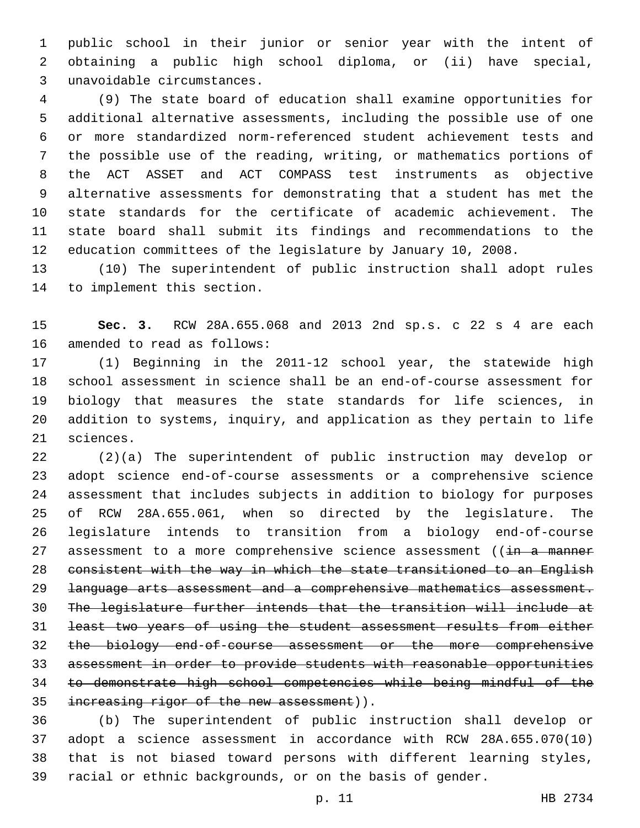public school in their junior or senior year with the intent of obtaining a public high school diploma, or (ii) have special, unavoidable circumstances.3

 (9) The state board of education shall examine opportunities for additional alternative assessments, including the possible use of one or more standardized norm-referenced student achievement tests and the possible use of the reading, writing, or mathematics portions of the ACT ASSET and ACT COMPASS test instruments as objective alternative assessments for demonstrating that a student has met the state standards for the certificate of academic achievement. The state board shall submit its findings and recommendations to the education committees of the legislature by January 10, 2008.

 (10) The superintendent of public instruction shall adopt rules 14 to implement this section.

 **Sec. 3.** RCW 28A.655.068 and 2013 2nd sp.s. c 22 s 4 are each 16 amended to read as follows:

 (1) Beginning in the 2011-12 school year, the statewide high school assessment in science shall be an end-of-course assessment for biology that measures the state standards for life sciences, in addition to systems, inquiry, and application as they pertain to life 21 sciences.

 (2)(a) The superintendent of public instruction may develop or adopt science end-of-course assessments or a comprehensive science assessment that includes subjects in addition to biology for purposes of RCW 28A.655.061, when so directed by the legislature. The legislature intends to transition from a biology end-of-course 27 assessment to a more comprehensive science assessment ((in a manner consistent with the way in which the state transitioned to an English language arts assessment and a comprehensive mathematics assessment. The legislature further intends that the transition will include at least two years of using the student assessment results from either the biology end-of-course assessment or the more comprehensive assessment in order to provide students with reasonable opportunities to demonstrate high school competencies while being mindful of the 35 increasing rigor of the new assessment)).

 (b) The superintendent of public instruction shall develop or adopt a science assessment in accordance with RCW 28A.655.070(10) that is not biased toward persons with different learning styles, racial or ethnic backgrounds, or on the basis of gender.